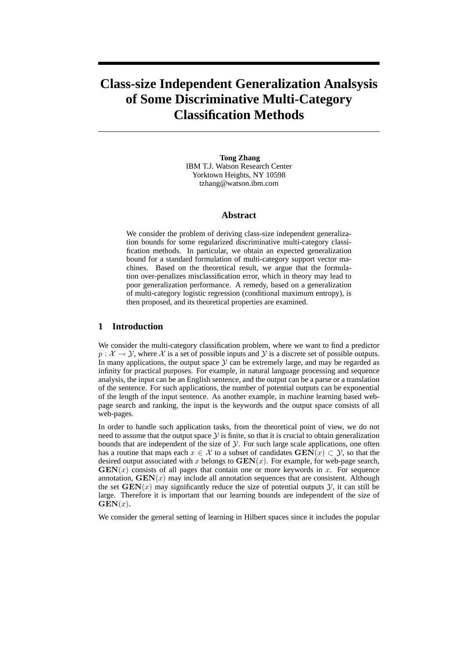# **Class-size Independent Generalization Analsysis of Some Discriminative Multi-Category Classification Methods**

**Tong Zhang** IBM T.J. Watson Research Center Yorktown Heights, NY 10598 tzhang@watson.ibm.com

#### **Abstract**

We consider the problem of deriving class-size independent generalization bounds for some regularized discriminative multi-category classification methods. In particular, we obtain an expected generalization bound for a standard formulation of multi-category support vector machines. Based on the theoretical result, we argue that the formulation over-penalizes misclassification error, which in theory may lead to poor generalization performance. A remedy, based on a generalization of multi-category logistic regression (conditional maximum entropy), is then proposed, and its theoretical properties are examined.

### **1 Introduction**

We consider the multi-category classification problem, where we want to find a predictor  $p : \mathcal{X} \to \mathcal{Y}$ , where X is a set of possible inputs and Y is a discrete set of possible outputs. In many applications, the output space  $Y$  can be extremely large, and may be regarded as infinity for practical purposes. For example, in natural language processing and sequence analysis, the input can be an English sentence, and the output can be a parse or a translation of the sentence. For such applications, the number of potential outputs can be exponential of the length of the input sentence. As another example, in machine learning based webpage search and ranking, the input is the keywords and the output space consists of all web-pages.

In order to handle such application tasks, from the theoretical point of view, we do not need to assume that the output space  $\mathcal Y$  is finite, so that it is crucial to obtain generalization bounds that are independent of the size of  $\mathcal Y$ . For such large scale applications, one often has a routine that maps each  $x \in \mathcal{X}$  to a subset of candidates  $\mathbf{GEN}(x) \subset \mathcal{Y}$ , so that the desired output associated with x belongs to  $GEN(x)$ . For example, for web-page search,  **consists of all pages that contain one or more keywords in x. For sequence** annotation,  $\mathbf{GEN}(x)$  may include all annotation sequences that are consistent. Although the set  **may significantly reduce the size of potential outputs**  $Y$ **, it can still be** large. Therefore it is important that our learning bounds are independent of the size of  $GEN(x)$ .

We consider the general setting of learning in Hilbert spaces since it includes the popular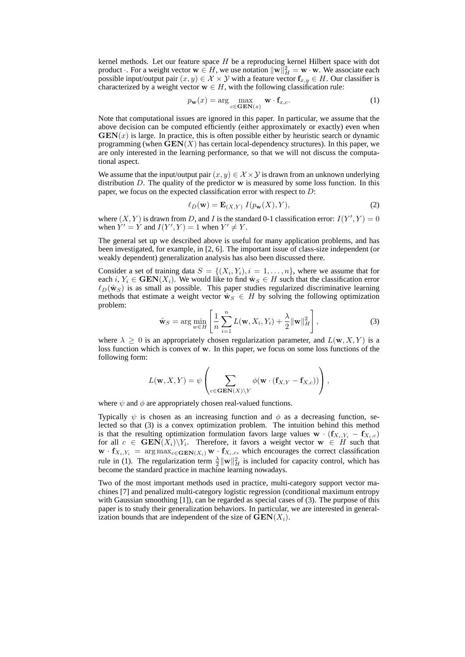kernel methods. Let our feature space H be a reproducing kernel Hilbert space with dot product  $\cdot$ . For a weight vector  $\mathbf{w} \in H$ , we use notation  $\|\mathbf{w}\|_H^2 = \mathbf{w} \cdot \mathbf{w}$ . We associate each possible input/output pair  $(x, y) \in \mathcal{X} \times \mathcal{Y}$  with a feature vector  $\mathbf{f}_{x,y} \in H$ . Our classifier is characterized by a weight vector  $w \in H$ , with the following classification rule:

$$
p_{\mathbf{w}}(x) = \arg\max_{c \in \mathbf{GEN}(x)} \mathbf{w} \cdot \mathbf{f}_{x,c}.
$$
 (1)

Note that computational issues are ignored in this paper. In particular, we assume that the above decision can be computed efficiently (either approximately or exactly) even when  $GEN(x)$  is large. In practice, this is often possible either by heuristic search or dynamic programming (when  $\mathbf{GEN}(X)$  has certain local-dependency structures). In this paper, we are only interested in the learning performance, so that we will not discuss the computational aspect.

We assume that the input/output pair  $(x, y) \in \mathcal{X} \times \mathcal{Y}$  is drawn from an unknown underlying distribution  $D$ . The quality of the predictor  $w$  is measured by some loss function. In this paper, we focus on the expected classification error with respect to D:

$$
\ell_D(\mathbf{w}) = \mathbf{E}_{(X,Y)} I(p_\mathbf{w}(X), Y),\tag{2}
$$

where  $(X, Y)$  is drawn from D, and I is the standard 0-1 classification error:  $I(Y', Y) = 0$ when  $Y' = Y$  and  $I(Y', Y) = 1$  when  $Y' \neq Y$ .

The general set up we described above is useful for many application problems, and has been investigated, for example, in [2, 6]. The important issue of class-size independent (or weakly dependent) generalization analysis has also been discussed there.

Consider a set of training data  $S = \{(X_i, Y_i), i = 1, \ldots, n\}$ , where we assume that for each i,  $Y_i \in \text{GEN}(X_i)$ . We would like to find  $\hat{w}_S \in H$  such that the classification error  $\ell_D(\hat{\mathbf{w}}_S)$  is as small as possible. This paper studies regularized discriminative learning methods that estimate a weight vector  $\mathbf{\hat{w}}_S \in H$  by solving the following optimization problem:

$$
\hat{\mathbf{w}}_S = \arg\min_{w \in H} \left[ \frac{1}{n} \sum_{i=1}^n L(\mathbf{w}, X_i, Y_i) + \frac{\lambda}{2} ||\mathbf{w}||_H^2 \right],\tag{3}
$$

where  $\lambda \geq 0$  is an appropriately chosen regularization parameter, and  $L(\mathbf{w}, X, Y)$  is a loss function which is convex of w. In this paper, we focus on some loss functions of the following form:

$$
L(\mathbf{w}, X, Y) = \psi \left( \sum_{c \in \mathbf{GEN}(X) \setminus Y} \phi(\mathbf{w} \cdot (\mathbf{f}_{X,Y} - \mathbf{f}_{X,c})) \right),
$$

where  $\psi$  and  $\phi$  are appropriately chosen real-valued functions.

Typically  $\psi$  is chosen as an increasing function and  $\phi$  as a decreasing function, selected so that (3) is a convex optimization problem. The intuition behind this method is that the resulting optimization formulation favors large values  $\mathbf{w} \cdot (\mathbf{f}_{X_i,Y_i} - \mathbf{f}_{X_i,c})$ for all  $c \in \text{GEN}(X_i) \backslash Y_i$ . Therefore, it favors a weight vector  $\textbf{w} \in H$  such that  $\mathbf{w} \cdot \mathbf{f}_{X_i, Y_i} = \arg \max_{c \in \mathbf{GEN}(X_i)} \mathbf{w} \cdot \mathbf{f}_{X_i, c}$ , which encourages the correct classification rule in (1). The regularization term  $\frac{\lambda}{2} ||\mathbf{w}||_H^2$  is included for capacity control, which has become the standard practice in machine learning nowadays.

Two of the most important methods used in practice, multi-category support vector machines [7] and penalized multi-category logistic regression (conditional maximum entropy with Gaussian smoothing [1]), can be regarded as special cases of (3). The purpose of this paper is to study their generalization behaviors. In particular, we are interested in generalization bounds that are independent of the size of  $\mathbf{GEN}(X_i)$ .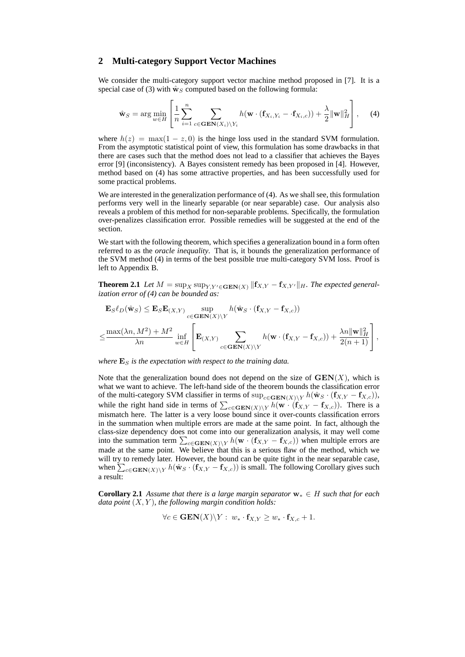#### **2 Multi-category Support Vector Machines**

We consider the multi-category support vector machine method proposed in [7]. It is a special case of (3) with  $\hat{w}_S$  computed based on the following formula:

$$
\hat{\mathbf{w}}_S = \arg\min_{w \in H} \left[ \frac{1}{n} \sum_{i=1}^n \sum_{c \in \mathbf{GEN}(X_i) \setminus Y_i} h(\mathbf{w} \cdot (\mathbf{f}_{X_i, Y_i} - \cdot \mathbf{f}_{X_i, c})) + \frac{\lambda}{2} ||\mathbf{w}||_H^2 \right], \quad (4)
$$

where  $h(z) = \max(1 - z, 0)$  is the hinge loss used in the standard SVM formulation. From the asymptotic statistical point of view, this formulation has some drawbacks in that there are cases such that the method does not lead to a classifier that achieves the Bayes error [9] (inconsistency). A Bayes consistent remedy has been proposed in [4]. However, method based on (4) has some attractive properties, and has been successfully used for some practical problems.

We are interested in the generalization performance of  $(4)$ . As we shall see, this formulation performs very well in the linearly separable (or near separable) case. Our analysis also reveals a problem of this method for non-separable problems. Specifically, the formulation over-penalizes classification error. Possible remedies will be suggested at the end of the section.

We start with the following theorem, which specifies a generalization bound in a form often referred to as the *oracle inequality*. That is, it bounds the generalization performance of the SVM method (4) in terms of the best possible true multi-category SVM loss. Proof is left to Appendix B.

**Theorem 2.1** *Let*  $M = \sup_X \sup_{Y,Y' \in \mathbf{GEN}(X)} ||f_{X,Y} - f_{X,Y'}||_H$ . The expected general*ization error of (4) can be bounded as:*

$$
\mathbf{E}_{S}\ell_{D}(\hat{\mathbf{w}}_{S}) \leq \mathbf{E}_{S}\mathbf{E}_{(X,Y)} \sup_{c \in \mathbf{GEN}(X) \backslash Y} h(\hat{\mathbf{w}}_{S} \cdot (\mathbf{f}_{X,Y} - \mathbf{f}_{X,c}))
$$
  

$$
\leq \frac{\max(\lambda n, M^{2}) + M^{2}}{\lambda n} \inf_{w \in H} \left[ \mathbf{E}_{(X,Y)} \sum_{c \in \mathbf{GEN}(X) \backslash Y} h(\mathbf{w} \cdot (\mathbf{f}_{X,Y} - \mathbf{f}_{X,c})) + \frac{\lambda n ||\mathbf{w}||_{H}^{2}}{2(n+1)} \right],
$$

*where*  $\mathbf{E}_S$  *is the expectation with respect to the training data.* 

Note that the generalization bound does not depend on the size of  $\mathbf{GEN}(X)$ , which is what we want to achieve. The left-hand side of the theorem bounds the classification error of the multi-category SVM classifier in terms of  $\sup_{c \in \mathbf{GEN}(X) \setminus Y} h(\hat{\mathbf{w}}_S \cdot (\mathbf{f}_{X,Y} - \mathbf{f}_{X,c}))$ , while the right hand side in terms of  $\sum_{c \in \mathbf{GEN}(X) \setminus Y} h(\mathbf{w} \cdot (\mathbf{f}_{X,Y} - \mathbf{f}_{X,c}))$ . There is a mismatch here. The latter is a very loose bound since it over-counts classification errors in the summation when multiple errors are made at the same point. In fact, although the class-size dependency does not come into our generalization analysis, it may well come into the summation term  $\sum_{c \in \text{GEN}(X) \backslash Y} h(\textbf{w} \cdot (\textbf{f}_{X,Y} - \textbf{f}_{X,c}))$  when multiple errors are made at the same point. We believe that this is a serious flaw of the method, which we will try to remedy later. However, the bound can be quite tight in the near separable case, when  $\sum_{c \in \text{GEN}(X) \setminus Y} h(\hat{w}_S \cdot (\mathbf{f}_{X,Y} - \mathbf{f}_{X,c}))$  is small. The following Corollary gives such a result:

**Corollary 2.1** *Assume that there is a large margin separator* w<sup>∗</sup> ∈ H *such that for each data point* (X, Y )*, the following margin condition holds:*

$$
\forall c \in \mathbf{GEN}(X) \backslash Y: \ w_* \cdot \mathbf{f}_{X,Y} \geq w_* \cdot \mathbf{f}_{X,c} + 1.
$$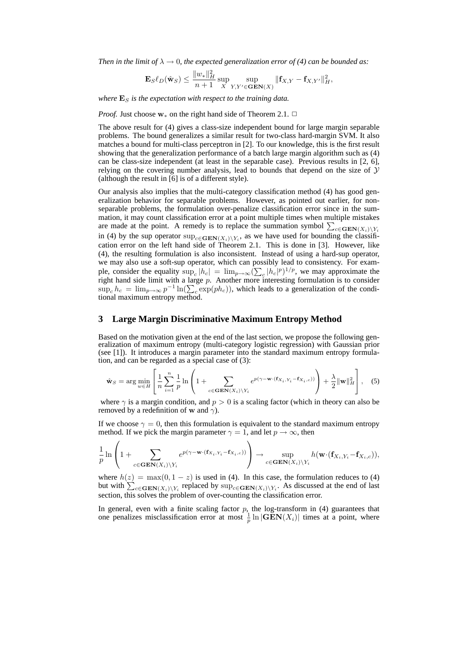*Then in the limit of*  $\lambda \to 0$ , the expected generalization error of (4) can be bounded as:

$$
\mathbf{E}_{S}\ell_{D}(\hat{\mathbf{w}}_{S}) \leq \frac{\|w_{*}\|_{H}^{2}}{n+1} \sup_{X} \sup_{Y,Y'\in \mathbf{GEN}(X)} \|\mathbf{f}_{X,Y} - \mathbf{f}_{X,Y'}\|_{H}^{2},
$$

*where*  $\mathbf{E}_S$  *is the expectation with respect to the training data.* 

*Proof.* Just choose  $w_*$  on the right hand side of Theorem 2.1.  $\Box$ 

 $\overline{2}$ 

The above result for (4) gives a class-size independent bound for large margin separable problems. The bound generalizes a similar result for two-class hard-margin SVM. It also matches a bound for multi-class perceptron in [2]. To our knowledge, this is the first result showing that the generalization performance of a batch large margin algorithm such as (4) can be class-size independent (at least in the separable case). Previous results in [2, 6], relying on the covering number analysis, lead to bounds that depend on the size of  $Y$ (although the result in [6] is of a different style).

Our analysis also implies that the multi-category classification method (4) has good generalization behavior for separable problems. However, as pointed out earlier, for nonseparable problems, the formulation over-penalize classification error since in the summation, it may count classification error at a point multiple times when multiple mistakes are made at the point. A remedy is to replace the summation symbol  $\sum_{c \in \mathbf{GEN}(X_i) \setminus Y_i}$ in (4) by the sup operator  $\sup_{c \in \text{GEN}(X_i) \setminus Y_i}$ , as we have used for bounding the classification error on the left hand side of Theorem 2.1. This is done in [3]. However, like (4), the resulting formulation is also inconsistent. Instead of using a hard-sup operator, we may also use a soft-sup operator, which can possibly lead to consistency. For example, consider the equality  $\sup_c |h_c| = \lim_{p \to \infty} (\sum_c |h_c|^p)^{1/p}$ , we may approximate the right hand side limit with a large  $p$ . Another more interesting formulation is to consider  $\sup_c h_c = \lim_{p \to \infty} p^{-1} \ln(\sum_c \exp(ph_c))$ , which leads to a generalization of the conditional maximum entropy method.

#### **3 Large Margin Discriminative Maximum Entropy Method**

Based on the motivation given at the end of the last section, we propose the following generalization of maximum entropy (multi-category logistic regression) with Gaussian prior (see [1]). It introduces a margin parameter into the standard maximum entropy formulation, and can be regarded as a special case of (3):

$$
\hat{\mathbf{w}}_S = \arg\min_{w \in H} \left[ \frac{1}{n} \sum_{i=1}^n \frac{1}{p} \ln \left( 1 + \sum_{c \in \mathbf{GEN}(X_i) \setminus Y_i} e^{p(\gamma - \mathbf{w} \cdot (\mathbf{f}_{X_i, Y_i} - \mathbf{f}_{X_i, c}))} \right) + \frac{\lambda}{2} ||\mathbf{w}||_H^2 \right], \quad (5)
$$

where  $\gamma$  is a margin condition, and  $p > 0$  is a scaling factor (which in theory can also be removed by a redefinition of w and  $\gamma$ ).

If we choose  $\gamma = 0$ , then this formulation is equivalent to the standard maximum entropy method. If we pick the margin parameter  $\gamma = 1$ , and let  $p \to \infty$ , then

$$
\frac{1}{p}\ln\left(1+\sum_{c\in\mathbf{GEN}(X_i)\backslash Y_i}e^{p(\gamma-\mathbf{w}\cdot(\mathbf{f}_{X_i,Y_i}-\mathbf{f}_{X_i,c}))}\right)\to\sup_{c\in\mathbf{GEN}(X_i)\backslash Y_i}h(\mathbf{w}\cdot(\mathbf{f}_{X_i,Y_i}-\mathbf{f}_{X_i,c})),
$$

where  $h(z) = \max(0, 1 - z)$  is used in (4). In this case, the formulation reduces to (4) but with  $\sum_{c \in \text{GEN}(X_i) \setminus Y_i}$  replaced by  $\sup_{c \in \text{GEN}(X_i) \setminus Y_i}$ . As discussed at the end of last section, this solves the problem of over-counting the classification error.

In general, even with a finite scaling factor  $p$ , the log-transform in (4) guarantees that one penalizes misclassification error at most  $\frac{1}{p} \ln |\mathbf{GEN}(X_i)|$  times at a point, where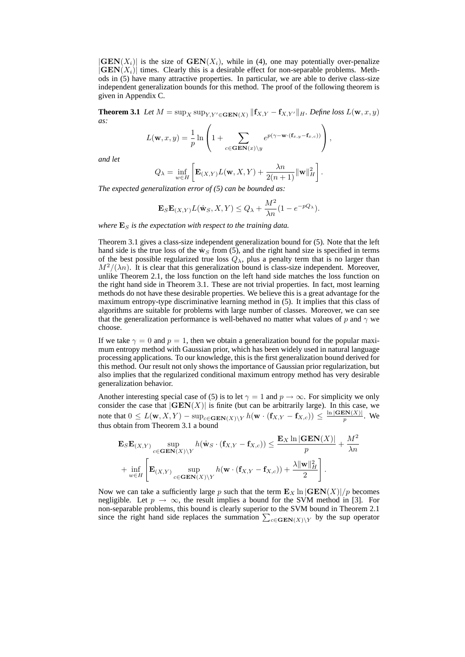$|\mathbf{GEN}(X_i)|$  is the size of  $\mathbf{GEN}(X_i)$ , while in (4), one may potentially over-penalize  $|\mathbf{GEN}(X_i)|$  times. Clearly this is a desirable effect for non-separable problems. Methods in (5) have many attractive properties. In particular, we are able to derive class-size independent generalization bounds for this method. The proof of the following theorem is given in Appendix C.

**Theorem 3.1** *Let*  $M = \sup_X \sup_{Y,Y' \in \mathbf{GEN}(X)} ||\mathbf{f}_{X,Y} - \mathbf{f}_{X,Y'}||_H$ . Define loss  $L(\mathbf{w}, x, y)$ *as:*

$$
L(\mathbf{w},x,y) = \frac{1}{p} \ln \left( 1 + \sum_{c \in \mathbf{GEN}(x) \setminus y} e^{p(\gamma - \mathbf{w} \cdot (\mathbf{f}_{x,y} - \mathbf{f}_{x,c}))} \right),
$$

*and let*

$$
Q_{\lambda} = \inf_{w \in H} \left[ \mathbf{E}_{(X,Y)} L(\mathbf{w},X,Y) + \frac{\lambda n}{2(n+1)} ||\mathbf{w}||_H^2 \right].
$$

*The expected generalization error of (5) can be bounded as:*

$$
\mathbf{E}_S \mathbf{E}_{(X,Y)} L(\hat{\mathbf{w}}_S, X, Y) \le Q_{\lambda} + \frac{M^2}{\lambda n} (1 - e^{-pQ_{\lambda}}).
$$

*where*  $\mathbf{E}_S$  *is the expectation with respect to the training data.* 

Theorem 3.1 gives a class-size independent generalization bound for (5). Note that the left hand side is the true loss of the  $\hat{w}_s$  from (5), and the right hand size is specified in terms of the best possible regularized true loss  $Q_{\lambda}$ , plus a penalty term that is no larger than  $M^2/(\lambda n)$ . It is clear that this generalization bound is class-size independent. Moreover, unlike Theorem 2.1, the loss function on the left hand side matches the loss function on the right hand side in Theorem 3.1. These are not trivial properties. In fact, most learning methods do not have these desirable properties. We believe this is a great advantage for the maximum entropy-type discriminative learning method in (5). It implies that this class of algorithms are suitable for problems with large number of classes. Moreover, we can see that the generalization performance is well-behaved no matter what values of p and  $\gamma$  we choose.

If we take  $\gamma = 0$  and  $p = 1$ , then we obtain a generalization bound for the popular maximum entropy method with Gaussian prior, which has been widely used in natural language processing applications. To our knowledge, this is the first generalization bound derived for this method. Our result not only shows the importance of Gaussian prior regularization, but also implies that the regularized conditional maximum entropy method has very desirable generalization behavior.

Another interesting special case of (5) is to let  $\gamma = 1$  and  $p \to \infty$ . For simplicity we only consider the case that  $|GEN(X)|$  is finite (but can be arbitrarily large). In this case, we note that  $0 \le L(\mathbf{w}, X, Y) - \sup_{c \in \mathbf{GEN}(X) \setminus Y} h(\mathbf{w} \cdot (\mathbf{f}_{X, Y} - \mathbf{f}_{X, c})) \le \frac{\ln|\mathbf{GEN}(X)|}{p}$  $\frac{\mathbf{SN}(X)|}{p}$ . We thus obtain from Theorem 3.1 a bound

$$
\begin{aligned} &\mathbf{E}_S \mathbf{E}_{(X,Y)} \sup_{c \in \mathbf{GEN}(X) \backslash Y} h(\hat{\mathbf{w}}_S \cdot (\mathbf{f}_{X,Y} - \mathbf{f}_{X,c})) \le \frac{\mathbf{E}_X \ln |\mathbf{GEN}(X)|}{p} + \frac{M^2}{\lambda n} \\ &+ \inf_{w \in H} \left[ \mathbf{E}_{(X,Y)} \sup_{c \in \mathbf{GEN}(X) \backslash Y} h(\mathbf{w} \cdot (\mathbf{f}_{X,Y} - \mathbf{f}_{X,c})) + \frac{\lambda ||\mathbf{w}||_H^2}{2} \right]. \end{aligned}
$$

Now we can take a sufficiently large p such that the term  $\mathbf{E}_X \ln |\mathbf{GEN}(X)|/p$  becomes negligible. Let  $p \to \infty$ , the result implies a bound for the SVM method in [3]. For non-separable problems, this bound is clearly superior to the SVM bound in Theorem 2.1 since the right hand side replaces the summation  $\sum_{c \in \text{GEN}(X) \setminus Y}$  by the sup operator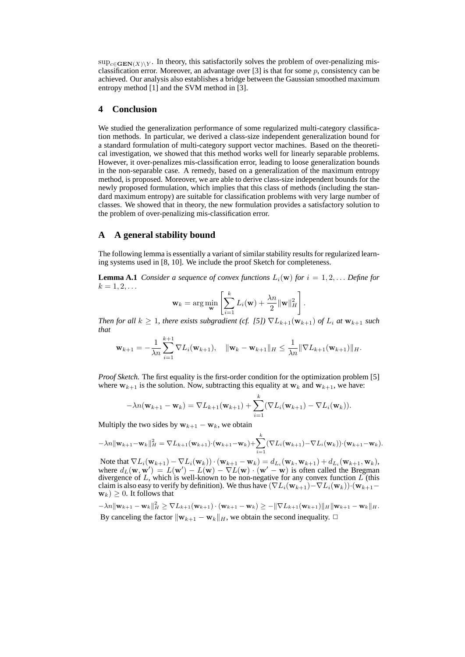$\sup_{c \in \mathbf{GEN}(X) \setminus Y}$ . In theory, this satisfactorily solves the problem of over-penalizing misclassification error. Moreover, an advantage over [3] is that for some  $p$ , consistency can be achieved. Our analysis also establishes a bridge between the Gaussian smoothed maximum entropy method [1] and the SVM method in [3].

#### **4 Conclusion**

We studied the generalization performance of some regularized multi-category classification methods. In particular, we derived a class-size independent generalization bound for a standard formulation of multi-category support vector machines. Based on the theoretical investigation, we showed that this method works well for linearly separable problems. However, it over-penalizes mis-classification error, leading to loose generalization bounds in the non-separable case. A remedy, based on a generalization of the maximum entropy method, is proposed. Moreover, we are able to derive class-size independent bounds for the newly proposed formulation, which implies that this class of methods (including the standard maximum entropy) are suitable for classification problems with very large number of classes. We showed that in theory, the new formulation provides a satisfactory solution to the problem of over-penalizing mis-classification error.

## **A A general stability bound**

The following lemma is essentially a variant of similar stability results for regularized learning systems used in [8, 10]. We include the proof Sketch for completeness.

**Lemma A.1** *Consider a sequence of convex functions*  $L_i(\mathbf{w})$  *for*  $i = 1, 2, \ldots$  *Define for*  $k = 1, 2, \ldots$ 

$$
\mathbf{w}_k = \arg\min_{\mathbf{w}} \left[ \sum_{i=1}^k L_i(\mathbf{w}) + \frac{\lambda n}{2} ||\mathbf{w}||_H^2 \right].
$$

*Then for all*  $k \geq 1$ *, there exists subgradient (cf. [5])*  $\nabla L_{k+1}(\mathbf{w}_{k+1})$  *of*  $L_i$  *at*  $\mathbf{w}_{k+1}$  *such that*

$$
\mathbf{w}_{k+1} = -\frac{1}{\lambda n} \sum_{i=1}^{k+1} \nabla L_i(\mathbf{w}_{k+1}), \quad \|\mathbf{w}_k - \mathbf{w}_{k+1}\|_{H} \leq \frac{1}{\lambda n} \|\nabla L_{k+1}(\mathbf{w}_{k+1})\|_{H}.
$$

*Proof Sketch.* The first equality is the first-order condition for the optimization problem [5] where  $w_{k+1}$  is the solution. Now, subtracting this equality at  $w_k$  and  $w_{k+1}$ , we have:

$$
-\lambda n(\mathbf{w}_{k+1}-\mathbf{w}_k)=\nabla L_{k+1}(\mathbf{w}_{k+1})+\sum_{i=1}^k(\nabla L_i(\mathbf{w}_{k+1})-\nabla L_i(\mathbf{w}_k)).
$$

Multiply the two sides by  $w_{k+1} - w_k$ , we obtain

$$
-\lambda n \|\mathbf{w}_{k+1} - \mathbf{w}_k\|_H^2 = \nabla L_{k+1}(\mathbf{w}_{k+1}) \cdot (\mathbf{w}_{k+1} - \mathbf{w}_k) + \sum_{i=1}^k (\nabla L_i(\mathbf{w}_{k+1}) - \nabla L_i(\mathbf{w}_k)) \cdot (\mathbf{w}_{k+1} - \mathbf{w}_k).
$$

Note that  $\nabla L_i(\mathbf{w}_{k+1}) - \nabla L_i(\mathbf{w}_k) \cdot (\mathbf{w}_{k+1} - \mathbf{w}_k) = d_{L_i}(\mathbf{w}_k, \mathbf{w}_{k+1}) + d_{L_i}(\mathbf{w}_{k+1}, \mathbf{w}_k),$ where  $d_L(\mathbf{w}, \mathbf{w}') = L(\mathbf{w}') - L(\mathbf{w}) - \nabla L(\mathbf{w}) \cdot (\mathbf{w}' - \mathbf{w})$  is often called the Bregman divergence of  $L$ , which is well-known to be non-negative for any convex function  $L$  (this claim is also easy to verify by definition). We thus have  $(\nabla L_i(\mathbf{w}_{k+1}) - \nabla L_i(\mathbf{w}_k)) \cdot (\mathbf{w}_{k+1} \mathbf{w}_k$ )  $\geq$  0. It follows that

 $-\lambda n \|\mathbf{w}_{k+1} - \mathbf{w}_k\|_H^2 \geq \nabla L_{k+1}(\mathbf{w}_{k+1}) \cdot (\mathbf{w}_{k+1} - \mathbf{w}_k) \geq -\|\nabla L_{k+1}(\mathbf{w}_{k+1})\|_H \|\mathbf{w}_{k+1} - \mathbf{w}_k\|_H.$ By canceling the factor  $\|\mathbf{w}_{k+1} - \mathbf{w}_k\|_H$ , we obtain the second inequality.  $\Box$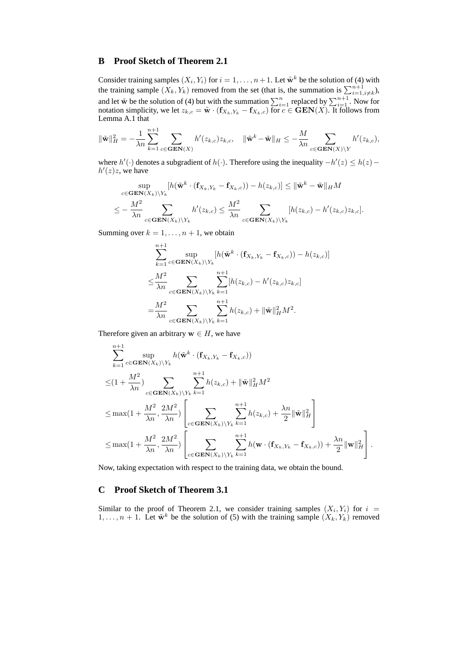## **B Proof Sketch of Theorem 2.1**

Consider training samples  $(X_i, Y_i)$  for  $i = 1, \ldots, n+1$ . Let  $\tilde{\mathbf{w}}^k$  be the solution of (4) with the training sample  $(X_k, Y_k)$  removed from the set (that is, the summation is  $\sum_{i=1, i \neq k}^{n+1}$ ), and let  $\tilde{w}$  be the solution of (4) but with the summation  $\sum_{i=1}^{n}$  replaced by  $\sum_{i=1}^{n+1}$ . Now for notation simplicity, we let  $z_{k,c} = \tilde{\bf w} \cdot ({\bf f}_{X_k,Y_k} - {\bf f}_{X_k,c})$  for  $c \in \textbf{GEN}(X)$ . It follows from Lemma A.1 that

$$
\|\tilde{\mathbf{w}}\|_H^2 = -\frac{1}{\lambda n} \sum_{k=1}^{n+1} \sum_{c \in \mathbf{GEN}(X)} h'(z_{k,c}) z_{k,c}, \quad \|\tilde{\mathbf{w}}^k - \tilde{\mathbf{w}}\|_H \le -\frac{M}{\lambda n} \sum_{c \in \mathbf{GEN}(X) \backslash Y} h'(z_{k,c}),
$$

where  $h'(\cdot)$  denotes a subgradient of  $h(\cdot)$ . Therefore using the inequality  $-h'(z) \leq h(z)$  –  $h'(z)z$ , we have

$$
\sup_{c \in \mathbf{GEN}(X_k) \backslash Y_k} [h(\tilde{\mathbf{w}}^k \cdot (\mathbf{f}_{X_k, Y_k} - \mathbf{f}_{X_k, c})) - h(z_{k,c})] \le ||\tilde{\mathbf{w}}^k - \tilde{\mathbf{w}}||_H M
$$
  

$$
\le -\frac{M^2}{\lambda n} \sum_{c \in \mathbf{GEN}(X_k) \backslash Y_k} h'(z_{k,c}) \le \frac{M^2}{\lambda n} \sum_{c \in \mathbf{GEN}(X_k) \backslash Y_k} [h(z_{k,c}) - h'(z_{k,c})z_{k,c}].
$$

Summing over  $k = 1, \ldots, n + 1$ , we obtain

$$
\sum_{k=1}^{n+1} \sup_{c \in \mathbf{GEN}(X_k) \backslash Y_k} [h(\tilde{\mathbf{w}}^k \cdot (\mathbf{f}_{X_k, Y_k} - \mathbf{f}_{X_k, c})) - h(z_{k,c})]
$$
  
\n
$$
\leq \frac{M^2}{\lambda n} \sum_{c \in \mathbf{GEN}(X_k) \backslash Y_k} \sum_{k=1}^{n+1} [h(z_{k,c}) - h'(z_{k,c})z_{k,c}]
$$
  
\n
$$
= \frac{M^2}{\lambda n} \sum_{c \in \mathbf{GEN}(X_k) \backslash Y_k} \sum_{k=1}^{n+1} h(z_{k,c}) + ||\tilde{\mathbf{w}}||^2_H M^2.
$$

Therefore given an arbitrary  $w \in H$ , we have

$$
\sum_{k=1}^{n+1} \sup_{c \in \mathbf{GEN}(X_k) \backslash Y_k} h(\tilde{\mathbf{w}}^k \cdot (\mathbf{f}_{X_k, Y_k} - \mathbf{f}_{X_k, c}))
$$
\n
$$
\leq (1 + \frac{M^2}{\lambda n}) \sum_{c \in \mathbf{GEN}(X_k) \backslash Y_k} \sum_{k=1}^{n+1} h(z_{k,c}) + \|\tilde{\mathbf{w}}\|_{H}^2 M^2
$$
\n
$$
\leq \max(1 + \frac{M^2}{\lambda n}, \frac{2M^2}{\lambda n}) \left[ \sum_{c \in \mathbf{GEN}(X_k) \backslash Y_k} \sum_{k=1}^{n+1} h(z_{k,c}) + \frac{\lambda n}{2} \|\tilde{\mathbf{w}}\|_{H}^2 \right]
$$
\n
$$
\leq \max(1 + \frac{M^2}{\lambda n}, \frac{2M^2}{\lambda n}) \left[ \sum_{c \in \mathbf{GEN}(X_k) \backslash Y_k} \sum_{k=1}^{n+1} h(\mathbf{w} \cdot (\mathbf{f}_{X_k, Y_k} - \mathbf{f}_{X_k, c})) + \frac{\lambda n}{2} \|\mathbf{w}\|_{H}^2 \right].
$$

Now, taking expectation with respect to the training data, we obtain the bound.

## **C Proof Sketch of Theorem 3.1**

Similar to the proof of Theorem 2.1, we consider training samples  $(X_i, Y_i)$  for  $i =$  $1, \ldots, n + 1$ . Let  $\tilde{\mathbf{w}}^k$  be the solution of (5) with the training sample  $(X_k, Y_k)$  removed